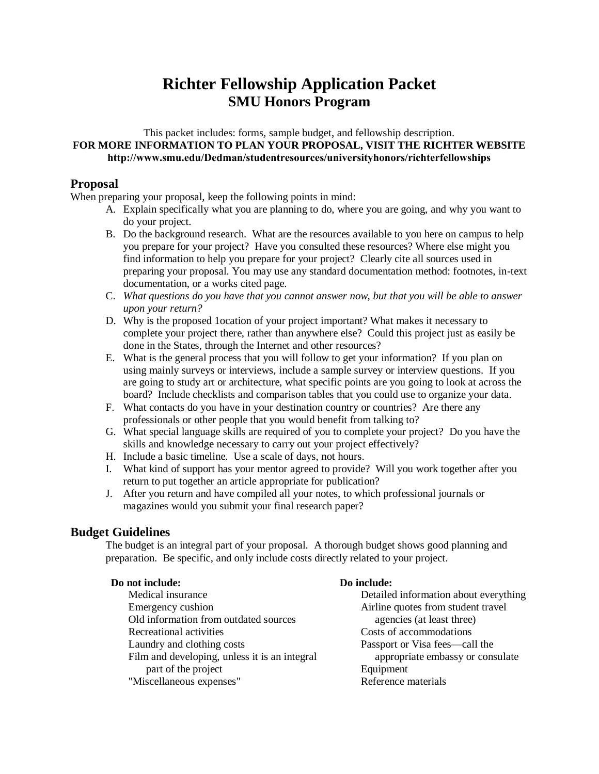# **Richter Fellowship Application Packet SMU Honors Program**

### This packet includes: forms, sample budget, and fellowship description. **FOR MORE INFORMATION TO PLAN YOUR PROPOSAL, VISIT THE RICHTER WEBSITE http://www.smu.edu/Dedman/studentresources/universityhonors/richterfellowships**

### **Proposal**

When preparing your proposal, keep the following points in mind:

- A. Explain specifically what you are planning to do, where you are going, and why you want to do your project.
- B. Do the background research. What are the resources available to you here on campus to help you prepare for your project? Have you consulted these resources? Where else might you find information to help you prepare for your project? Clearly cite all sources used in preparing your proposal. You may use any standard documentation method: footnotes, in-text documentation, or a works cited page.
- C. *What questions do you have that you cannot answer now, but that you will be able to answer upon your return?*
- D. Why is the proposed 1ocation of your project important? What makes it necessary to complete your project there, rather than anywhere else? Could this project just as easily be done in the States, through the Internet and other resources?
- E. What is the general process that you will follow to get your information? If you plan on using mainly surveys or interviews, include a sample survey or interview questions. If you are going to study art or architecture, what specific points are you going to look at across the board? Include checklists and comparison tables that you could use to organize your data.
- F. What contacts do you have in your destination country or countries? Are there any professionals or other people that you would benefit from talking to?
- G. What special language skills are required of you to complete your project? Do you have the skills and knowledge necessary to carry out your project effectively?
- H. Include a basic timeline. Use a scale of days, not hours.
- I. What kind of support has your mentor agreed to provide? Will you work together after you return to put together an article appropriate for publication?
- J. After you return and have compiled all your notes, to which professional journals or magazines would you submit your final research paper?

### **Budget Guidelines**

The budget is an integral part of your proposal. A thorough budget shows good planning and preparation. Be specific, and only include costs directly related to your project.

### **Do not include:**

### **Do include:**

Medical insurance Emergency cushion Old information from outdated sources Recreational activities Laundry and clothing costs Film and developing, unless it is an integral part of the project "Miscellaneous expenses"

Detailed information about everything Airline quotes from student travel agencies (at least three) Costs of accommodations Passport or Visa fees—call the appropriate embassy or consulate Equipment Reference materials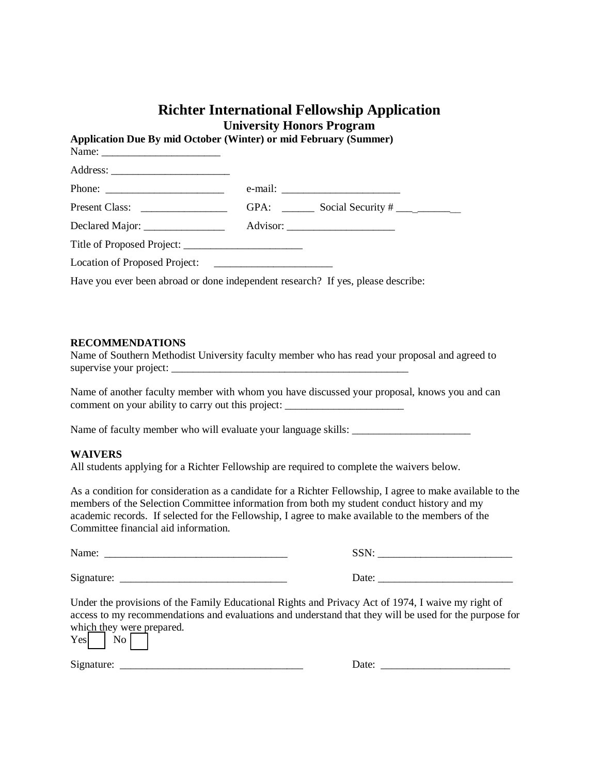### **Richter International Fellowship Application University Honors Program**

**Application Due By mid October (Winter) or mid February (Summer)**  Name: Address: \_\_\_\_\_\_\_\_\_\_\_\_\_\_\_\_\_\_\_\_\_\_ Phone: e-mail: Present Class: \_\_\_\_\_\_\_\_\_\_\_\_\_\_\_\_ GPA: \_\_\_\_\_\_ Social Security # \_\_\_\_\_\_\_\_\_\_\_\_ Declared Major: \_\_\_\_\_\_\_\_\_\_\_\_\_\_\_ Advisor: \_\_\_\_\_\_\_\_\_\_\_\_\_\_\_\_\_\_\_\_ Title of Proposed Project: \_\_\_\_\_\_\_\_\_\_\_\_\_\_\_\_\_\_\_\_\_\_ Location of Proposed Project: Have you ever been abroad or done independent research? If yes, please describe:

#### **RECOMMENDATIONS**

Name of Southern Methodist University faculty member who has read your proposal and agreed to supervise your project:

Name of another faculty member with whom you have discussed your proposal, knows you and can comment on your ability to carry out this project:

Name of faculty member who will evaluate your language skills: \_\_\_\_\_\_\_\_\_\_\_\_\_\_\_\_\_\_\_\_\_\_

#### **WAIVERS**

All students applying for a Richter Fellowship are required to complete the waivers below.

As a condition for consideration as a candidate for a Richter Fellowship, I agree to make available to the members of the Selection Committee information from both my student conduct history and my academic records. If selected for the Fellowship, I agree to make available to the members of the Committee financial aid information.

| Name: |
|-------|
|-------|

Signature: \_\_\_\_\_\_\_\_\_\_\_\_\_\_\_\_\_\_\_\_\_\_\_\_\_\_\_\_\_\_\_ Date: \_\_\_\_\_\_\_\_\_\_\_\_\_\_\_\_\_\_\_\_\_\_\_\_\_

Under the provisions of the Family Educational Rights and Privacy Act of 1974, I waive my right of access to my recommendations and evaluations and understand that they will be used for the purpose for which they were prepared.

| Yesl | ΙNΟ | $\ldots$ of $\sigma$ because $\sigma$ |  |
|------|-----|---------------------------------------|--|
|      |     |                                       |  |

Signature: \_\_\_\_\_\_\_\_\_\_\_\_\_\_\_\_\_\_\_\_\_\_\_\_\_\_\_\_\_\_\_\_\_\_ Date: \_\_\_\_\_\_\_\_\_\_\_\_\_\_\_\_\_\_\_\_\_\_\_\_

| Date: |  |
|-------|--|
|       |  |

Name: \_\_\_\_\_\_\_\_\_\_\_\_\_\_\_\_\_\_\_\_\_\_\_\_\_\_\_\_\_\_\_\_\_\_ SSN: \_\_\_\_\_\_\_\_\_\_\_\_\_\_\_\_\_\_\_\_\_\_\_\_\_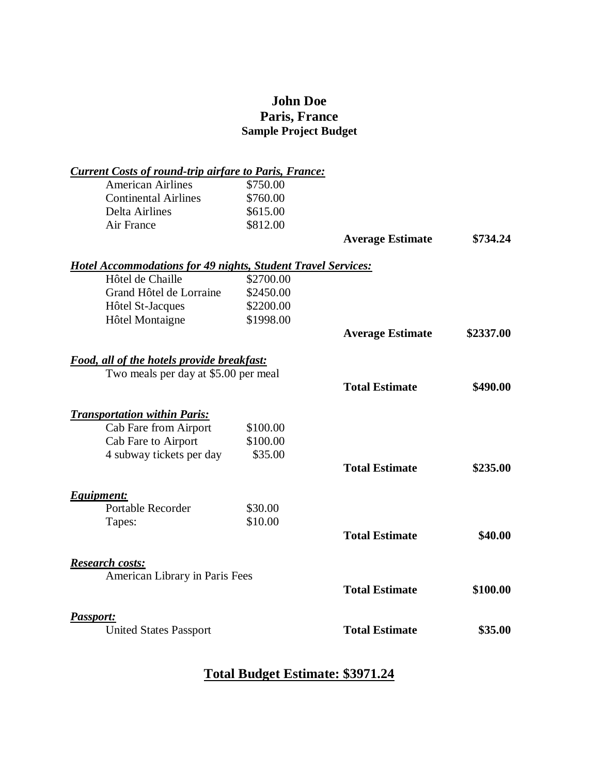## **John Doe Paris, France Sample Project Budget**

| <b>Current Costs of round-trip airfare to Paris, France:</b>        |           |                         |           |
|---------------------------------------------------------------------|-----------|-------------------------|-----------|
| <b>American Airlines</b>                                            | \$750.00  |                         |           |
| <b>Continental Airlines</b>                                         | \$760.00  |                         |           |
| <b>Delta Airlines</b>                                               | \$615.00  |                         |           |
| Air France                                                          | \$812.00  |                         |           |
|                                                                     |           | <b>Average Estimate</b> | \$734.24  |
| <b>Hotel Accommodations for 49 nights, Student Travel Services:</b> |           |                         |           |
| Hôtel de Chaille                                                    | \$2700.00 |                         |           |
| Grand Hôtel de Lorraine                                             | \$2450.00 |                         |           |
| Hôtel St-Jacques                                                    | \$2200.00 |                         |           |
| <b>Hôtel Montaigne</b>                                              | \$1998.00 |                         |           |
|                                                                     |           | <b>Average Estimate</b> | \$2337.00 |
| <b>Food, all of the hotels provide breakfast:</b>                   |           |                         |           |
| Two meals per day at \$5.00 per meal                                |           |                         |           |
|                                                                     |           | <b>Total Estimate</b>   | \$490.00  |
| <b>Transportation within Paris:</b>                                 |           |                         |           |
| Cab Fare from Airport                                               | \$100.00  |                         |           |
| Cab Fare to Airport                                                 | \$100.00  |                         |           |
| 4 subway tickets per day                                            | \$35.00   |                         |           |
|                                                                     |           | <b>Total Estimate</b>   | \$235.00  |
| Equipment:                                                          |           |                         |           |
| <b>Portable Recorder</b>                                            | \$30.00   |                         |           |
| Tapes:                                                              | \$10.00   |                         |           |
|                                                                     |           | <b>Total Estimate</b>   | \$40.00   |
| <b>Research costs:</b>                                              |           |                         |           |
| American Library in Paris Fees                                      |           |                         |           |
|                                                                     |           | <b>Total Estimate</b>   | \$100.00  |
| <b>Passport:</b>                                                    |           | <b>Total Estimate</b>   |           |
| <b>United States Passport</b>                                       |           |                         | \$35.00   |

## **Total Budget Estimate: \$3971.24**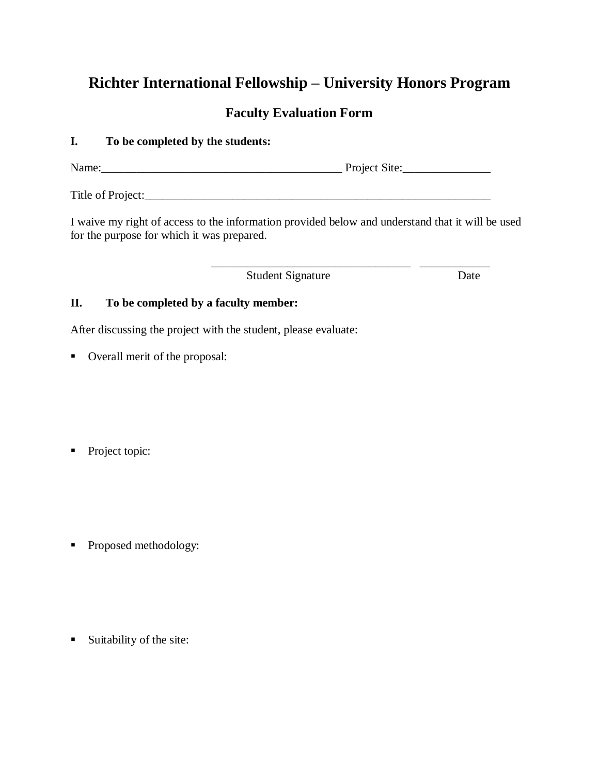# **Richter International Fellowship – University Honors Program**

## **Faculty Evaluation Form**

### **I. To be completed by the students:**

Name: Name: Name Project Site:

Title of Project:\_\_\_\_\_\_\_\_\_\_\_\_\_\_\_\_\_\_\_\_\_\_\_\_\_\_\_\_\_\_\_\_\_\_\_\_\_\_\_\_\_\_\_\_\_\_\_\_\_\_\_\_\_\_\_\_\_\_\_

I waive my right of access to the information provided below and understand that it will be used for the purpose for which it was prepared.

\_\_\_\_\_\_\_\_\_\_\_\_\_\_\_\_\_\_\_\_\_\_\_\_\_\_\_\_\_\_\_\_\_\_ \_\_\_\_\_\_\_\_\_\_\_\_

Student Signature Date

### **II. To be completed by a faculty member:**

After discussing the project with the student, please evaluate:

Overall merit of the proposal:

• Project topic:

• Proposed methodology:

 $\blacksquare$  Suitability of the site: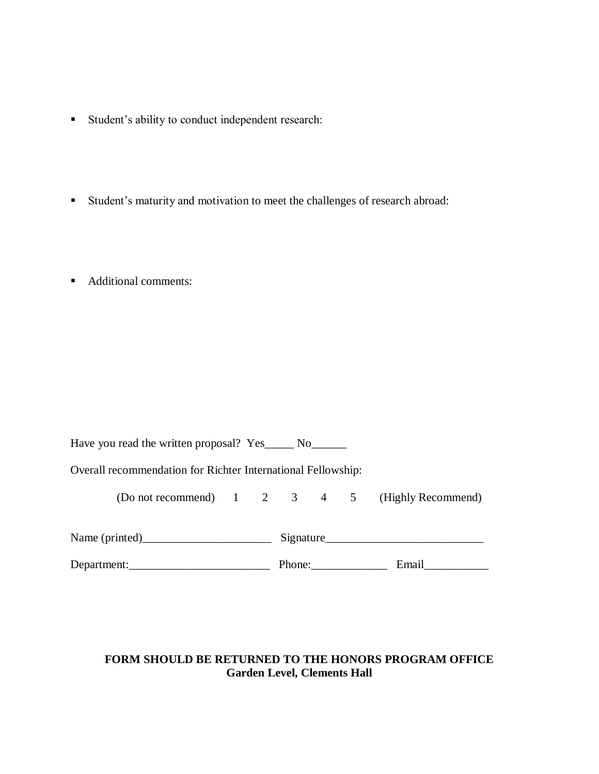- Student's ability to conduct independent research:
- Student's maturity and motivation to meet the challenges of research abroad:
- Additional comments:

| Have you read the written proposal? Yes______ No |  |
|--------------------------------------------------|--|
|                                                  |  |

Overall recommendation for Richter International Fellowship:

(Do not recommend) 1 2 3 4 5 (Highly Recommend)

| Name (printed) | Signature |       |  |  |  |
|----------------|-----------|-------|--|--|--|
| Department:    | Phone:    | Email |  |  |  |

### **FORM SHOULD BE RETURNED TO THE HONORS PROGRAM OFFICE Garden Level, Clements Hall**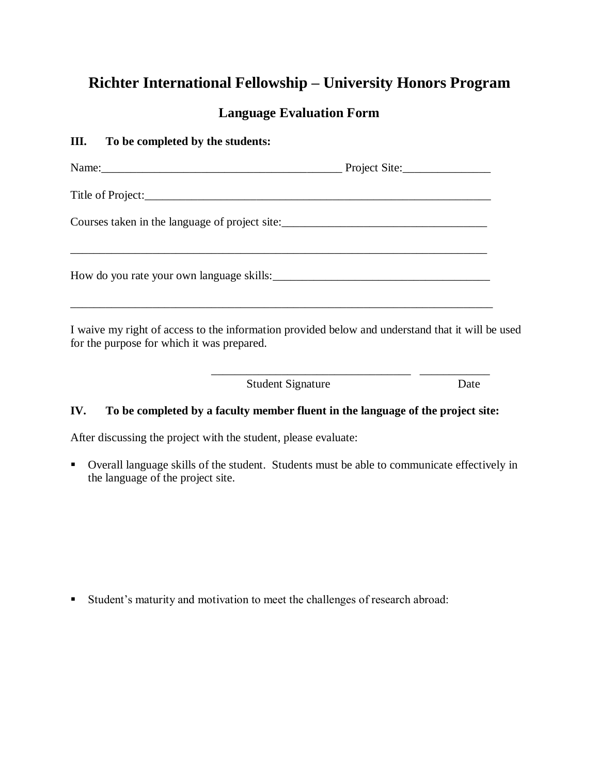# **Richter International Fellowship – University Honors Program**

## **Language Evaluation Form**

### **III. To be completed by the students:**

| Name: Name: Name: Name: Name: Name: Name: Name: Name: Name: Name: Name: Name: Name: Name: Name: Name: Name: Name: Name: Name: Name: Name: Name: Name: Name: Name: Name: Name: Name: Name: Name: Name: Name: Name: Name: Name: |                                                                                                  |
|-------------------------------------------------------------------------------------------------------------------------------------------------------------------------------------------------------------------------------|--------------------------------------------------------------------------------------------------|
|                                                                                                                                                                                                                               |                                                                                                  |
| Courses taken in the language of project site:___________________________________                                                                                                                                             |                                                                                                  |
| How do you rate your own language skills:                                                                                                                                                                                     |                                                                                                  |
| for the purpose for which it was prepared.                                                                                                                                                                                    | I waive my right of access to the information provided below and understand that it will be used |
| <b>Student Signature</b>                                                                                                                                                                                                      | Date                                                                                             |

### **IV. To be completed by a faculty member fluent in the language of the project site:**

After discussing the project with the student, please evaluate:

 Overall language skills of the student. Students must be able to communicate effectively in the language of the project site.

Student's maturity and motivation to meet the challenges of research abroad: